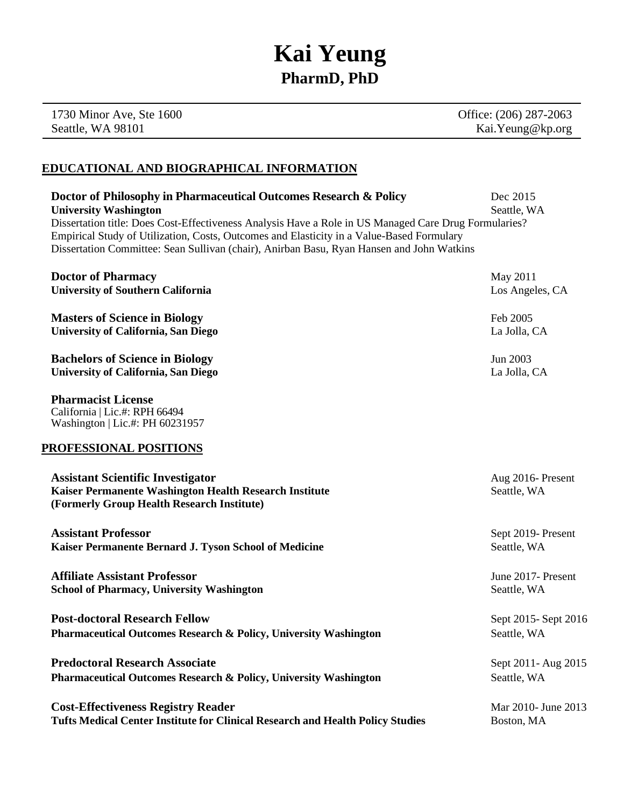# **Kai Yeung PharmD, PhD**

1730 Minor Ave, Ste 1600 Seattle, WA 98101

Office: (206) 287-2063 Kai.Yeung@kp.org

## **EDUCATIONAL AND BIOGRAPHICAL INFORMATION**

| Doctor of Philosophy in Pharmaceutical Outcomes Research & Policy                                                                                                                                                                                                                               | Dec 2015                        |
|-------------------------------------------------------------------------------------------------------------------------------------------------------------------------------------------------------------------------------------------------------------------------------------------------|---------------------------------|
| <b>University Washington</b>                                                                                                                                                                                                                                                                    | Seattle, WA                     |
| Dissertation title: Does Cost-Effectiveness Analysis Have a Role in US Managed Care Drug Formularies?<br>Empirical Study of Utilization, Costs, Outcomes and Elasticity in a Value-Based Formulary<br>Dissertation Committee: Sean Sullivan (chair), Anirban Basu, Ryan Hansen and John Watkins |                                 |
| <b>Doctor of Pharmacy</b>                                                                                                                                                                                                                                                                       | May 2011                        |
| <b>University of Southern California</b>                                                                                                                                                                                                                                                        | Los Angeles, CA                 |
| <b>Masters of Science in Biology</b>                                                                                                                                                                                                                                                            | Feb 2005                        |
| <b>University of California, San Diego</b>                                                                                                                                                                                                                                                      | La Jolla, CA                    |
| <b>Bachelors of Science in Biology</b>                                                                                                                                                                                                                                                          | Jun 2003                        |
| <b>University of California, San Diego</b>                                                                                                                                                                                                                                                      | La Jolla, CA                    |
| <b>Pharmacist License</b><br>California   Lic.#: RPH 66494<br>Washington   Lic.#: PH 60231957                                                                                                                                                                                                   |                                 |
| PROFESSIONAL POSITIONS                                                                                                                                                                                                                                                                          |                                 |
| <b>Assistant Scientific Investigator</b><br>Kaiser Permanente Washington Health Research Institute<br>(Formerly Group Health Research Institute)                                                                                                                                                | Aug 2016-Present<br>Seattle, WA |
| <b>Assistant Professor</b>                                                                                                                                                                                                                                                                      | Sept 2019-Present               |
| Kaiser Permanente Bernard J. Tyson School of Medicine                                                                                                                                                                                                                                           | Seattle, WA                     |
| <b>Affiliate Assistant Professor</b>                                                                                                                                                                                                                                                            | June 2017- Present              |
| <b>School of Pharmacy, University Washington</b>                                                                                                                                                                                                                                                | Seattle, WA                     |
| <b>Post-doctoral Research Fellow</b>                                                                                                                                                                                                                                                            | Sept 2015-Sept 2016             |
| <b>Pharmaceutical Outcomes Research &amp; Policy, University Washington</b>                                                                                                                                                                                                                     | Seattle, WA                     |
| <b>Predoctoral Research Associate</b>                                                                                                                                                                                                                                                           | Sept 2011- Aug 2015             |
| <b>Pharmaceutical Outcomes Research &amp; Policy, University Washington</b>                                                                                                                                                                                                                     | Seattle, WA                     |
| <b>Cost-Effectiveness Registry Reader</b>                                                                                                                                                                                                                                                       | Mar 2010- June 2013             |
| Tufts Medical Center Institute for Clinical Research and Health Policy Studies                                                                                                                                                                                                                  | Boston, MA                      |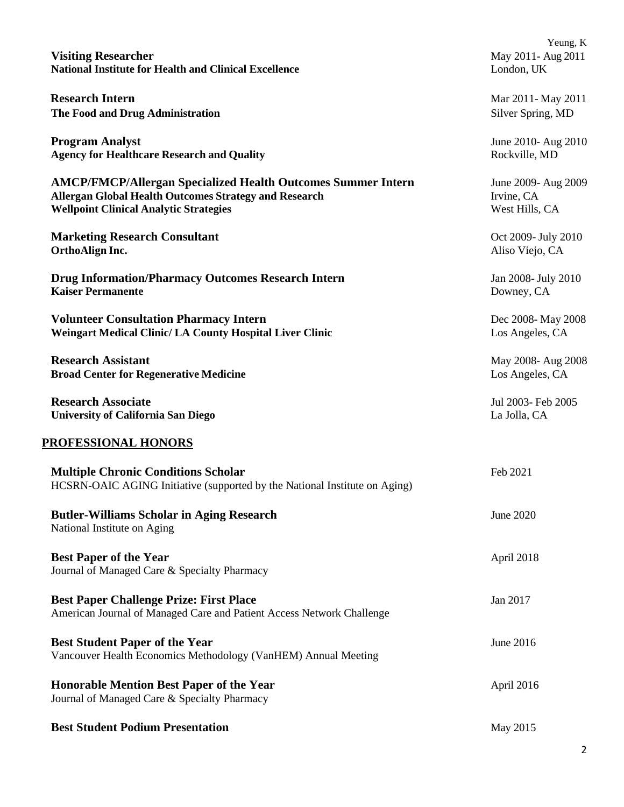| <b>Visiting Researcher</b><br><b>National Institute for Health and Clinical Excellence</b>                                                                                           | Yeung, K<br>May 2011- Aug 2011<br>London, UK        |  |  |
|--------------------------------------------------------------------------------------------------------------------------------------------------------------------------------------|-----------------------------------------------------|--|--|
| <b>Research Intern</b><br>The Food and Drug Administration                                                                                                                           | Mar 2011-May 2011<br>Silver Spring, MD              |  |  |
| <b>Program Analyst</b><br><b>Agency for Healthcare Research and Quality</b>                                                                                                          | June 2010- Aug 2010<br>Rockville, MD                |  |  |
| <b>AMCP/FMCP/Allergan Specialized Health Outcomes Summer Intern</b><br><b>Allergan Global Health Outcomes Strategy and Research</b><br><b>Wellpoint Clinical Analytic Strategies</b> | June 2009- Aug 2009<br>Irvine, CA<br>West Hills, CA |  |  |
| <b>Marketing Research Consultant</b><br>OrthoAlign Inc.                                                                                                                              | Oct 2009- July 2010<br>Aliso Viejo, CA              |  |  |
| <b>Drug Information/Pharmacy Outcomes Research Intern</b><br><b>Kaiser Permanente</b>                                                                                                | Jan 2008- July 2010<br>Downey, CA                   |  |  |
| <b>Volunteer Consultation Pharmacy Intern</b><br><b>Weingart Medical Clinic/ LA County Hospital Liver Clinic</b>                                                                     | Dec 2008- May 2008<br>Los Angeles, CA               |  |  |
| <b>Research Assistant</b><br><b>Broad Center for Regenerative Medicine</b>                                                                                                           | May 2008- Aug 2008<br>Los Angeles, CA               |  |  |
| <b>Research Associate</b><br><b>University of California San Diego</b>                                                                                                               | Jul 2003- Feb 2005<br>La Jolla, CA                  |  |  |
| PROFESSIONAL HONORS                                                                                                                                                                  |                                                     |  |  |
| <b>Multiple Chronic Conditions Scholar</b><br>HCSRN-OAIC AGING Initiative (supported by the National Institute on Aging)                                                             | Feb 2021                                            |  |  |
| <b>Butler-Williams Scholar in Aging Research</b><br>National Institute on Aging                                                                                                      | June 2020                                           |  |  |
| <b>Best Paper of the Year</b><br>Journal of Managed Care & Specialty Pharmacy                                                                                                        | April 2018                                          |  |  |
| <b>Best Paper Challenge Prize: First Place</b><br>American Journal of Managed Care and Patient Access Network Challenge                                                              | Jan 2017                                            |  |  |
| <b>Best Student Paper of the Year</b><br>Vancouver Health Economics Methodology (VanHEM) Annual Meeting                                                                              | June 2016                                           |  |  |
| <b>Honorable Mention Best Paper of the Year</b><br>Journal of Managed Care & Specialty Pharmacy                                                                                      | April 2016                                          |  |  |
| <b>Best Student Podium Presentation</b>                                                                                                                                              | May 2015                                            |  |  |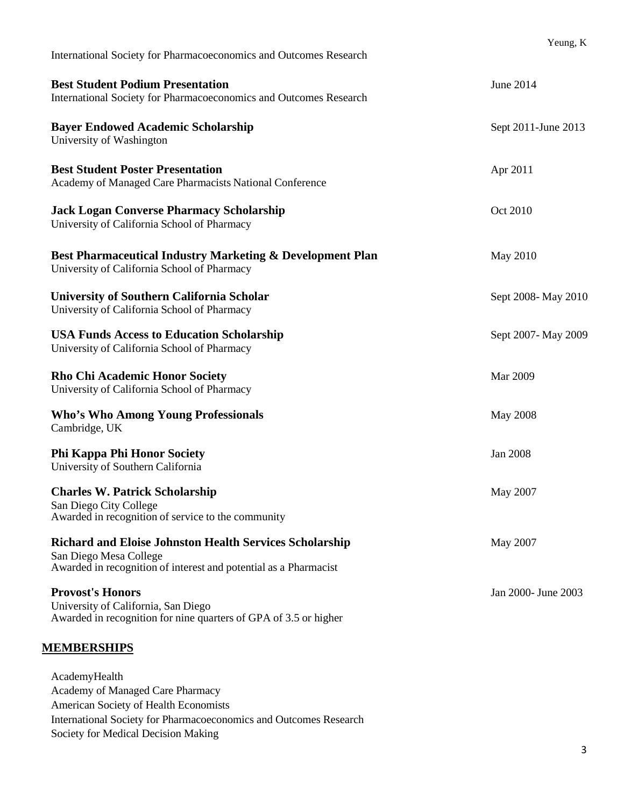| International Society for Pharmacoeconomics and Outcomes Research                                                                                            | Yeung, K            |
|--------------------------------------------------------------------------------------------------------------------------------------------------------------|---------------------|
| <b>Best Student Podium Presentation</b><br>International Society for Pharmacoeconomics and Outcomes Research                                                 | <b>June 2014</b>    |
| <b>Bayer Endowed Academic Scholarship</b><br>University of Washington                                                                                        | Sept 2011-June 2013 |
| <b>Best Student Poster Presentation</b><br>Academy of Managed Care Pharmacists National Conference                                                           | Apr 2011            |
| <b>Jack Logan Converse Pharmacy Scholarship</b><br>University of California School of Pharmacy                                                               | Oct 2010            |
| Best Pharmaceutical Industry Marketing & Development Plan<br>University of California School of Pharmacy                                                     | May 2010            |
| <b>University of Southern California Scholar</b><br>University of California School of Pharmacy                                                              | Sept 2008- May 2010 |
| <b>USA Funds Access to Education Scholarship</b><br>University of California School of Pharmacy                                                              | Sept 2007-May 2009  |
| <b>Rho Chi Academic Honor Society</b><br>University of California School of Pharmacy                                                                         | Mar 2009            |
| <b>Who's Who Among Young Professionals</b><br>Cambridge, UK                                                                                                  | <b>May 2008</b>     |
| <b>Phi Kappa Phi Honor Society</b><br>University of Southern California                                                                                      | <b>Jan 2008</b>     |
| <b>Charles W. Patrick Scholarship</b><br>San Diego City College<br>Awarded in recognition of service to the community                                        | May 2007            |
| <b>Richard and Eloise Johnston Health Services Scholarship</b><br>San Diego Mesa College<br>Awarded in recognition of interest and potential as a Pharmacist | May 2007            |
| <b>Provost's Honors</b><br>University of California, San Diego<br>Awarded in recognition for nine quarters of GPA of 3.5 or higher                           | Jan 2000- June 2003 |
| <u>MEMBERSHIPS</u>                                                                                                                                           |                     |
| AcademyHealth<br>Academy of Managed Care Pharmacy<br>American Society of Health Economists                                                                   |                     |

International Society for Pharmacoeconomics and Outcomes Research

Society for Medical Decision Making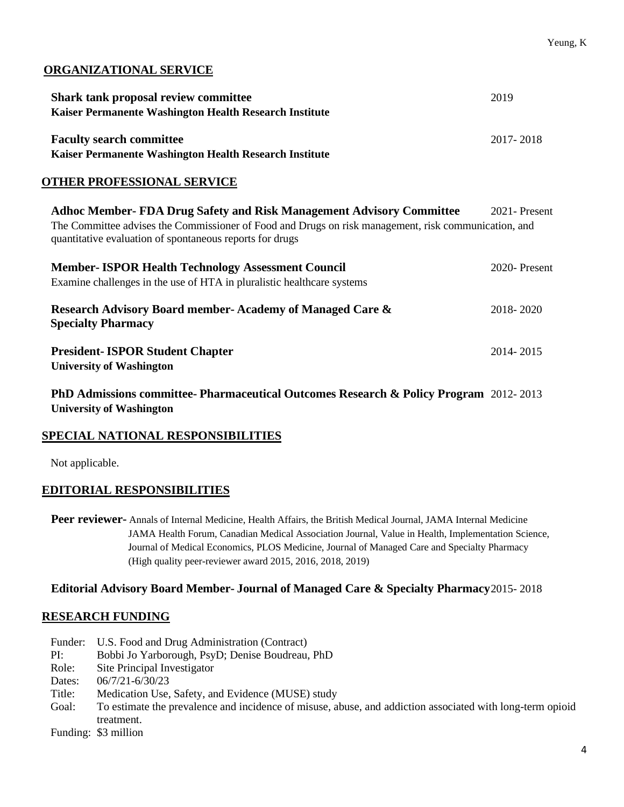## **ORGANIZATIONAL SERVICE**

| <b>Shark tank proposal review committee</b>                                                                                                                                                                                                     | 2019           |
|-------------------------------------------------------------------------------------------------------------------------------------------------------------------------------------------------------------------------------------------------|----------------|
| Kaiser Permanente Washington Health Research Institute                                                                                                                                                                                          |                |
| <b>Faculty search committee</b>                                                                                                                                                                                                                 | 2017-2018      |
| Kaiser Permanente Washington Health Research Institute                                                                                                                                                                                          |                |
| <b>OTHER PROFESSIONAL SERVICE</b>                                                                                                                                                                                                               |                |
| <b>Adhoc Member- FDA Drug Safety and Risk Management Advisory Committee</b><br>The Committee advises the Commissioner of Food and Drugs on risk management, risk communication, and<br>quantitative evaluation of spontaneous reports for drugs | 2021 - Present |
| <b>Member-ISPOR Health Technology Assessment Council</b><br>Examine challenges in the use of HTA in pluralistic healthcare systems                                                                                                              | 2020-Present   |
| Research Advisory Board member-Academy of Managed Care &<br><b>Specialty Pharmacy</b>                                                                                                                                                           | 2018-2020      |
| <b>President-ISPOR Student Chapter</b><br><b>University of Washington</b>                                                                                                                                                                       | 2014-2015      |
| <b>PhD Admissions committee- Pharmaceutical Outcomes Research &amp; Policy Program</b> 2012-2013                                                                                                                                                |                |

**University of Washington**

## **SPECIAL NATIONAL RESPONSIBILITIES**

Not applicable.

## **EDITORIAL RESPONSIBILITIES**

**Peer reviewer-** Annals of Internal Medicine, Health Affairs, the British Medical Journal, JAMA Internal Medicine JAMA Health Forum, Canadian Medical Association Journal, Value in Health, Implementation Science, Journal of Medical Economics, PLOS Medicine, Journal of Managed Care and Specialty Pharmacy (High quality peer-reviewer award 2015, 2016, 2018, 2019)

#### **Editorial Advisory Board Member- Journal of Managed Care & Specialty Pharmacy**2015- 2018

## **RESEARCH FUNDING**

| Funder: | U.S. Food and Drug Administration (Contract)                                                              |
|---------|-----------------------------------------------------------------------------------------------------------|
| PI:     | Bobbi Jo Yarborough, PsyD; Denise Boudreau, PhD                                                           |
| Role:   | Site Principal Investigator                                                                               |
| Dates:  | $06/7/21 - 6/30/23$                                                                                       |
| Title:  | Medication Use, Safety, and Evidence (MUSE) study                                                         |
| Goal:   | To estimate the prevalence and incidence of misuse, abuse, and addiction associated with long-term opioid |
|         | treatment.                                                                                                |
|         |                                                                                                           |

Funding: \$3 million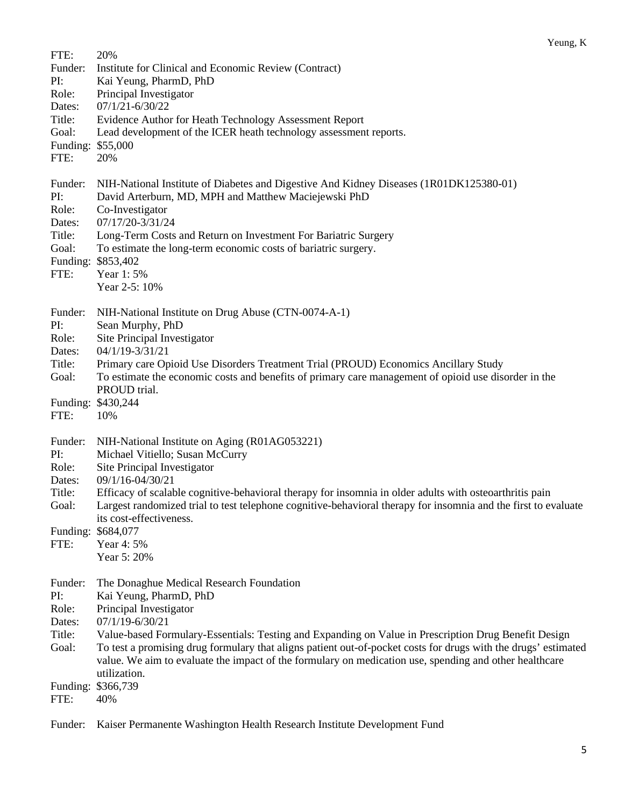| FTE:<br>Funder:<br>PI:<br>Role:<br>Dates:<br>Title:<br>Goal:<br>Funding: \$55,000<br>FTE: | 20%<br>Institute for Clinical and Economic Review (Contract)<br>Kai Yeung, PharmD, PhD<br>Principal Investigator<br>$07/1/21 - 6/30/22$<br>Evidence Author for Heath Technology Assessment Report<br>Lead development of the ICER heath technology assessment reports.<br>20%                                                                                                                                                                                                           |
|-------------------------------------------------------------------------------------------|-----------------------------------------------------------------------------------------------------------------------------------------------------------------------------------------------------------------------------------------------------------------------------------------------------------------------------------------------------------------------------------------------------------------------------------------------------------------------------------------|
| Funder:<br>PI:<br>Role:<br>Dates:<br>Title:<br>Goal:<br>Funding:<br>FTE:                  | NIH-National Institute of Diabetes and Digestive And Kidney Diseases (1R01DK125380-01)<br>David Arterburn, MD, MPH and Matthew Maciejewski PhD<br>Co-Investigator<br>07/17/20-3/31/24<br>Long-Term Costs and Return on Investment For Bariatric Surgery<br>To estimate the long-term economic costs of bariatric surgery.<br>\$853,402<br>Year 1:5%<br>Year 2-5: 10%                                                                                                                    |
| Funder:<br>PI:<br>Role:<br>Dates:<br>Title:<br>Goal:<br>FTE:                              | NIH-National Institute on Drug Abuse (CTN-0074-A-1)<br>Sean Murphy, PhD<br>Site Principal Investigator<br>04/1/19-3/31/21<br>Primary care Opioid Use Disorders Treatment Trial (PROUD) Economics Ancillary Study<br>To estimate the economic costs and benefits of primary care management of opioid use disorder in the<br>PROUD trial.<br>Funding: \$430,244<br>10%                                                                                                                   |
| Funder:<br>PI:<br>Role:<br>Dates:<br>Title:<br>Goal:<br>FTE:                              | NIH-National Institute on Aging (R01AG053221)<br>Michael Vitiello; Susan McCurry<br>Site Principal Investigator<br>09/1/16-04/30/21<br>Efficacy of scalable cognitive-behavioral therapy for insomnia in older adults with osteoarthritis pain<br>Largest randomized trial to test telephone cognitive-behavioral therapy for insomnia and the first to evaluate<br>its cost-effectiveness.<br>Funding: \$684,077<br>Year 4: 5%<br>Year 5: 20%                                          |
| Funder:<br>PI:<br>Role:<br>Dates:<br>Title:<br>Goal:<br>Funding:<br>FTE:                  | The Donaghue Medical Research Foundation<br>Kai Yeung, PharmD, PhD<br>Principal Investigator<br>07/1/19-6/30/21<br>Value-based Formulary-Essentials: Testing and Expanding on Value in Prescription Drug Benefit Design<br>To test a promising drug formulary that aligns patient out-of-pocket costs for drugs with the drugs' estimated<br>value. We aim to evaluate the impact of the formulary on medication use, spending and other healthcare<br>utilization.<br>\$366,739<br>40% |
| Funder:                                                                                   | Kaiser Permanente Washington Health Research Institute Development Fund                                                                                                                                                                                                                                                                                                                                                                                                                 |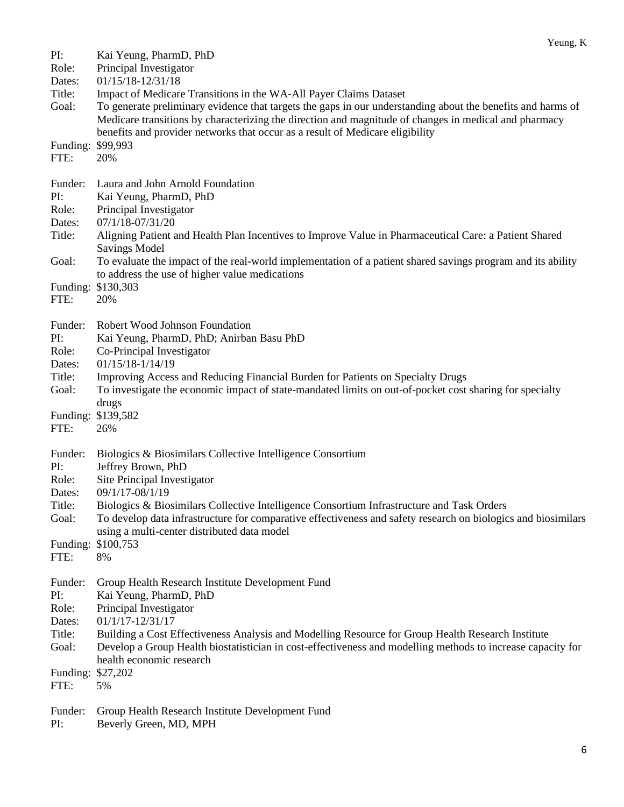| PI:              | Kai Yeung, PharmD, PhD                                                                                                              |
|------------------|-------------------------------------------------------------------------------------------------------------------------------------|
| Role:            | Principal Investigator<br>01/15/18-12/31/18                                                                                         |
| Dates:<br>Title: | Impact of Medicare Transitions in the WA-All Payer Claims Dataset                                                                   |
| Goal:            | To generate preliminary evidence that targets the gaps in our understanding about the benefits and harms of                         |
|                  | Medicare transitions by characterizing the direction and magnitude of changes in medical and pharmacy                               |
|                  | benefits and provider networks that occur as a result of Medicare eligibility                                                       |
| Funding:         | \$99,993                                                                                                                            |
| FTE:             | 20%                                                                                                                                 |
|                  |                                                                                                                                     |
| Funder:          | Laura and John Arnold Foundation                                                                                                    |
| PI:              | Kai Yeung, PharmD, PhD                                                                                                              |
| Role:            | Principal Investigator                                                                                                              |
| Dates:           | 07/1/18-07/31/20                                                                                                                    |
| Title:           | Aligning Patient and Health Plan Incentives to Improve Value in Pharmaceutical Care: a Patient Shared                               |
| Goal:            | <b>Savings Model</b><br>To evaluate the impact of the real-world implementation of a patient shared savings program and its ability |
|                  | to address the use of higher value medications                                                                                      |
|                  | Funding: \$130,303                                                                                                                  |
| FTE:             | 20%                                                                                                                                 |
|                  |                                                                                                                                     |
| Funder:          | Robert Wood Johnson Foundation                                                                                                      |
| PI:              | Kai Yeung, PharmD, PhD; Anirban Basu PhD                                                                                            |
| Role:            | Co-Principal Investigator                                                                                                           |
| Dates:           | $01/15/18 - 1/14/19$                                                                                                                |
| Title:           | Improving Access and Reducing Financial Burden for Patients on Specialty Drugs                                                      |
| Goal:            | To investigate the economic impact of state-mandated limits on out-of-pocket cost sharing for specialty                             |
|                  | drugs<br>Funding: \$139,582                                                                                                         |
| FTE:             | 26%                                                                                                                                 |
|                  |                                                                                                                                     |
| Funder:          | Biologics & Biosimilars Collective Intelligence Consortium                                                                          |
| PI:              | Jeffrey Brown, PhD                                                                                                                  |
| Role:            | Site Principal Investigator                                                                                                         |
| Dates:           | 09/1/17-08/1/19                                                                                                                     |
| Title:           | Biologics & Biosimilars Collective Intelligence Consortium Infrastructure and Task Orders                                           |
| Goal:            | To develop data infrastructure for comparative effectiveness and safety research on biologics and biosimilars                       |
| Funding:         | using a multi-center distributed data model<br>\$100,753                                                                            |
| FTE:             | 8%                                                                                                                                  |
|                  |                                                                                                                                     |
| Funder:          | Group Health Research Institute Development Fund                                                                                    |
| PI:              | Kai Yeung, PharmD, PhD                                                                                                              |
| Role:            | Principal Investigator                                                                                                              |
| Dates:           | $01/1/17 - 12/31/17$                                                                                                                |
| Title:           | Building a Cost Effectiveness Analysis and Modelling Resource for Group Health Research Institute                                   |
| Goal:            | Develop a Group Health biostatistician in cost-effectiveness and modelling methods to increase capacity for                         |
|                  | health economic research                                                                                                            |
| Funding:<br>FTE: | \$27,202<br>5%                                                                                                                      |
|                  |                                                                                                                                     |
| Funder:          | Group Health Research Institute Development Fund                                                                                    |
| PI:              | Beverly Green, MD, MPH                                                                                                              |

Yeung, K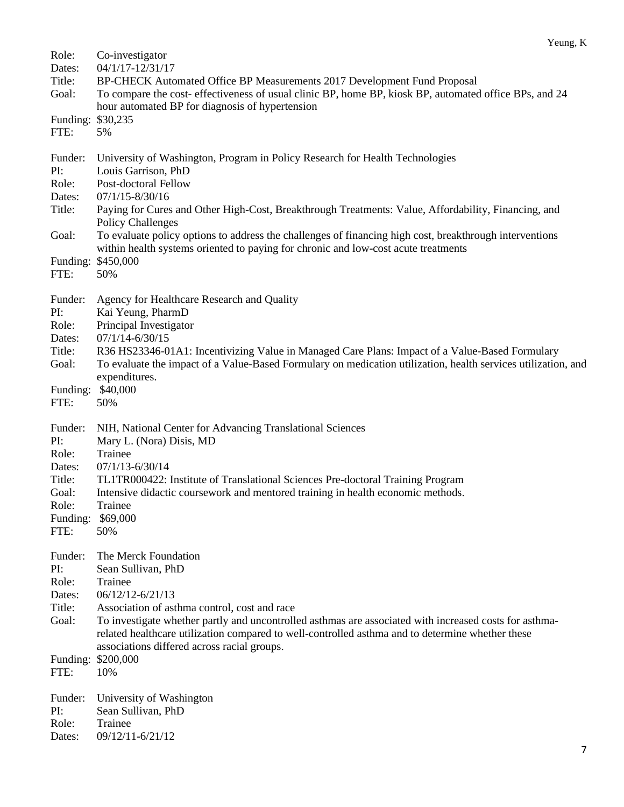| Role:                                                                    | Co-investigator                                                                                                                                                                                                                                                                                                                                                                                                                                                                                            |
|--------------------------------------------------------------------------|------------------------------------------------------------------------------------------------------------------------------------------------------------------------------------------------------------------------------------------------------------------------------------------------------------------------------------------------------------------------------------------------------------------------------------------------------------------------------------------------------------|
| Dates:                                                                   | 04/1/17-12/31/17                                                                                                                                                                                                                                                                                                                                                                                                                                                                                           |
| Title:<br>Goal:                                                          | BP-CHECK Automated Office BP Measurements 2017 Development Fund Proposal<br>To compare the cost- effectiveness of usual clinic BP, home BP, kiosk BP, automated office BPs, and 24<br>hour automated BP for diagnosis of hypertension                                                                                                                                                                                                                                                                      |
| Funding:                                                                 | \$30,235                                                                                                                                                                                                                                                                                                                                                                                                                                                                                                   |
| FTE:                                                                     | 5%                                                                                                                                                                                                                                                                                                                                                                                                                                                                                                         |
| Funder:<br>PI:<br>Role:<br>Dates:<br>Title:<br>Goal:<br>Funding:<br>FTE: | University of Washington, Program in Policy Research for Health Technologies<br>Louis Garrison, PhD<br>Post-doctoral Fellow<br>$07/1/15 - 8/30/16$<br>Paying for Cures and Other High-Cost, Breakthrough Treatments: Value, Affordability, Financing, and<br><b>Policy Challenges</b><br>To evaluate policy options to address the challenges of financing high cost, breakthrough interventions<br>within health systems oriented to paying for chronic and low-cost acute treatments<br>\$450,000<br>50% |
| Funder:<br>PI:<br>Role:<br>Dates:<br>Title:<br>Goal:<br>Funding:<br>FTE: | Agency for Healthcare Research and Quality<br>Kai Yeung, PharmD<br>Principal Investigator<br>$07/1/14 - 6/30/15$<br>R36 HS23346-01A1: Incentivizing Value in Managed Care Plans: Impact of a Value-Based Formulary<br>To evaluate the impact of a Value-Based Formulary on medication utilization, health services utilization, and<br>expenditures.<br>\$40,000<br>50%                                                                                                                                    |
| Funder:                                                                  | NIH, National Center for Advancing Translational Sciences                                                                                                                                                                                                                                                                                                                                                                                                                                                  |
| PI:                                                                      | Mary L. (Nora) Disis, MD                                                                                                                                                                                                                                                                                                                                                                                                                                                                                   |
| Role:                                                                    | Trainee                                                                                                                                                                                                                                                                                                                                                                                                                                                                                                    |
| Dates:                                                                   | $07/1/13 - 6/30/14$                                                                                                                                                                                                                                                                                                                                                                                                                                                                                        |
| Title:                                                                   | TL1TR000422: Institute of Translational Sciences Pre-doctoral Training Program                                                                                                                                                                                                                                                                                                                                                                                                                             |
| Goal:                                                                    | Intensive didactic coursework and mentored training in health economic methods.                                                                                                                                                                                                                                                                                                                                                                                                                            |
| Role:                                                                    | Trainee                                                                                                                                                                                                                                                                                                                                                                                                                                                                                                    |
| Funding:                                                                 | \$69,000                                                                                                                                                                                                                                                                                                                                                                                                                                                                                                   |
| FTE:                                                                     | 50%                                                                                                                                                                                                                                                                                                                                                                                                                                                                                                        |
| Funder:<br>PI:<br>Role:<br>Dates:<br>Title:<br>Goal:<br>Funding:         | The Merck Foundation<br>Sean Sullivan, PhD<br>Trainee<br>06/12/12-6/21/13<br>Association of asthma control, cost and race<br>To investigate whether partly and uncontrolled asthmas are associated with increased costs for asthma-<br>related healthcare utilization compared to well-controlled asthma and to determine whether these<br>associations differed across racial groups.<br>\$200,000                                                                                                        |
| FTE:                                                                     | 10%                                                                                                                                                                                                                                                                                                                                                                                                                                                                                                        |
| Funder:                                                                  | University of Washington                                                                                                                                                                                                                                                                                                                                                                                                                                                                                   |
| PI:                                                                      | Sean Sullivan, PhD                                                                                                                                                                                                                                                                                                                                                                                                                                                                                         |
| Role:                                                                    | Trainee                                                                                                                                                                                                                                                                                                                                                                                                                                                                                                    |
| Dates:                                                                   | 09/12/11-6/21/12                                                                                                                                                                                                                                                                                                                                                                                                                                                                                           |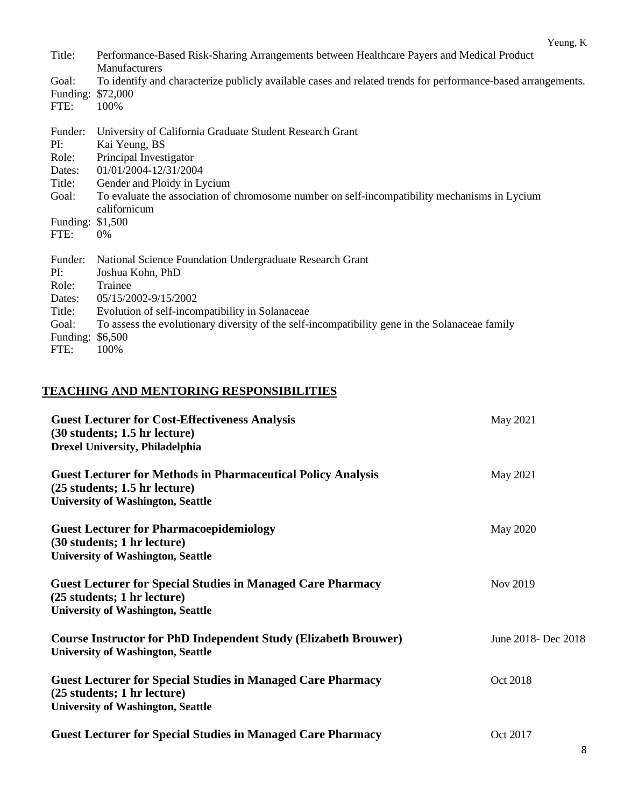|                  | Yeung, K                                                                                                      |
|------------------|---------------------------------------------------------------------------------------------------------------|
| Title:           | Performance-Based Risk-Sharing Arrangements between Healthcare Payers and Medical Product<br>Manufacturers    |
| Goal:            | To identify and characterize publicly available cases and related trends for performance-based arrangements.  |
| Funding:         | \$72,000                                                                                                      |
| FTE:             | 100%                                                                                                          |
|                  |                                                                                                               |
| Funder:          | University of California Graduate Student Research Grant                                                      |
| PI:              | Kai Yeung, BS                                                                                                 |
| Role:            | Principal Investigator                                                                                        |
| Dates:           | 01/01/2004-12/31/2004                                                                                         |
| Title:           | Gender and Ploidy in Lycium                                                                                   |
| Goal:            | To evaluate the association of chromosome number on self-incompatibility mechanisms in Lycium<br>californicum |
| Funding: \$1,500 |                                                                                                               |
| FTE:             | $0\%$                                                                                                         |
| Funder:          | National Science Foundation Undergraduate Research Grant                                                      |
| PI:              | Joshua Kohn, PhD                                                                                              |
| Role:            | Trainee                                                                                                       |
| Dates:           | 05/15/2002-9/15/2002                                                                                          |
| Title:           | Evolution of self-incompatibility in Solanaceae                                                               |
|                  |                                                                                                               |
| Goal:            | To assess the evolutionary diversity of the self-incompatibility gene in the Solanaceae family                |
| Funding:         | \$6,500                                                                                                       |
| FTE:             | 100%                                                                                                          |

## **TEACHING AND MENTORING RESPONSIBILITIES**

| <b>Guest Lecturer for Cost-Effectiveness Analysis</b><br>(30 students; 1.5 hr lecture)<br><b>Drexel University, Philadelphia</b>                   | May 2021            |
|----------------------------------------------------------------------------------------------------------------------------------------------------|---------------------|
| <b>Guest Lecturer for Methods in Pharmaceutical Policy Analysis</b><br>$(25$ students; 1.5 hr lecture)<br><b>University of Washington, Seattle</b> | May 2021            |
| <b>Guest Lecturer for Pharmacoepidemiology</b><br>(30 students; 1 hr lecture)<br><b>University of Washington, Seattle</b>                          | <b>May 2020</b>     |
| <b>Guest Lecturer for Special Studies in Managed Care Pharmacy</b><br>(25 students; 1 hr lecture)<br><b>University of Washington, Seattle</b>      | Nov 2019            |
| <b>Course Instructor for PhD Independent Study (Elizabeth Brouwer)</b><br><b>University of Washington, Seattle</b>                                 | June 2018- Dec 2018 |
| <b>Guest Lecturer for Special Studies in Managed Care Pharmacy</b><br>(25 students; 1 hr lecture)<br><b>University of Washington, Seattle</b>      | Oct 2018            |
| <b>Guest Lecturer for Special Studies in Managed Care Pharmacy</b>                                                                                 | Oct 2017            |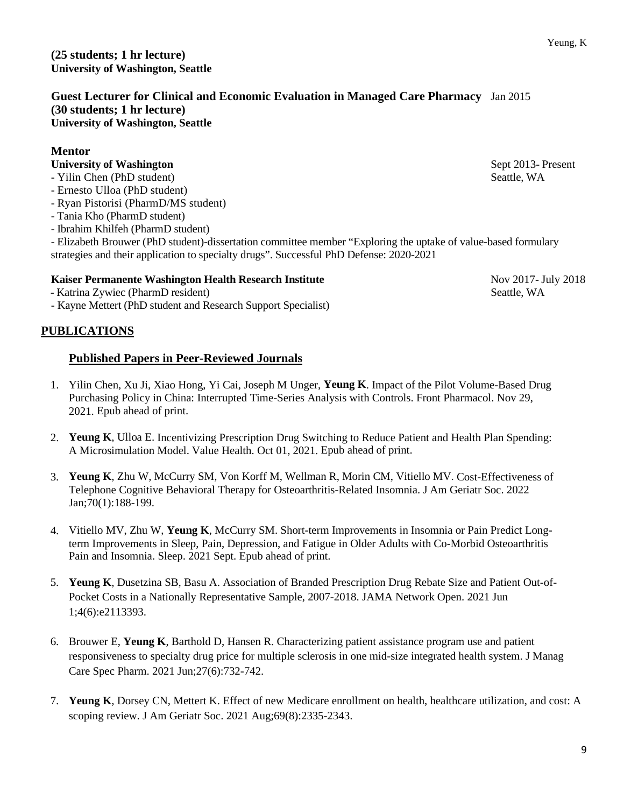**(25 students; 1 hr lecture) University of Washington, Seattle**

**Guest Lecturer for Clinical and Economic Evaluation in Managed Care Pharmacy** Jan 2015 **(30 students; 1 hr lecture) University of Washington, Seattle**

## **Mentor**

## **University of Washington** Sept 2013- Present

- Yilin Chen (PhD student) Seattle, WA
- Ernesto Ulloa (PhD student)
- Ryan Pistorisi (PharmD/MS student)
- Tania Kho (PharmD student)
- Ibrahim Khilfeh (PharmD student)

- Elizabeth Brouwer (PhD student)-dissertation committee member "Exploring the uptake of value-based formulary strategies and their application to specialty drugs". Successful PhD Defense: 2020-2021

## **Kaiser Permanente Washington Health Research Institute Nov 2017- 1018** Nov 2017- July 2018

- Katrina Zywiec (PharmD resident) Seattle, WA
- Kayne Mettert (PhD student and Research Support Specialist)

## **PUBLICATIONS**

## **Published Papers in Peer-Reviewed Journals**

- 1. Yilin Chen, Xu Ji, Xiao Hong, Yi Cai, Joseph M Unger, **Yeung K**. Impact of the Pilot Volume-Based Drug Purchasing Policy in China: Interrupted Time-Series Analysis with Controls. Front Pharmacol. Nov 29, 2021. Epub ahead of print.
- 2. **Yeung K**, Ulloa E. Incentivizing Prescription Drug Switching to Reduce Patient and Health Plan Spending: A Microsimulation Model. Value Health. Oct 01, 2021. Epub ahead of print.
- 3. **Yeung K**, Zhu W, McCurry SM, Von Korff M, Wellman R, Morin CM, Vitiello MV. Cost-Effectiveness of Telephone Cognitive Behavioral Therapy for Osteoarthritis-Related Insomnia. J Am Geriatr Soc. 2022 Jan;70(1):188-199.
- 4. Vitiello MV, Zhu W, **Yeung K**, McCurry SM. Short-term Improvements in Insomnia or Pain Predict Longterm Improvements in Sleep, Pain, Depression, and Fatigue in Older Adults with Co-Morbid Osteoarthritis Pain and Insomnia. Sleep. 2021 Sept. Epub ahead of print.
- 5. **Yeung K**, Dusetzina SB, Basu A. Association of Branded Prescription Drug Rebate Size and Patient Out-of-Pocket Costs in a Nationally Representative Sample, 2007-2018. JAMA Network Open. 2021 Jun 1;4(6):e2113393.
- 6. Brouwer E, **Yeung K**, Barthold D, Hansen R. Characterizing patient assistance program use and patient responsiveness to specialty drug price for multiple sclerosis in one mid-size integrated health system. J Manag Care Spec Pharm. 2021 Jun;27(6):732-742.
- 7. **Yeung K**, Dorsey CN, Mettert K. Effect of new Medicare enrollment on health, healthcare utilization, and cost: A scoping review. J Am Geriatr Soc. 2021 Aug;69(8):2335-2343.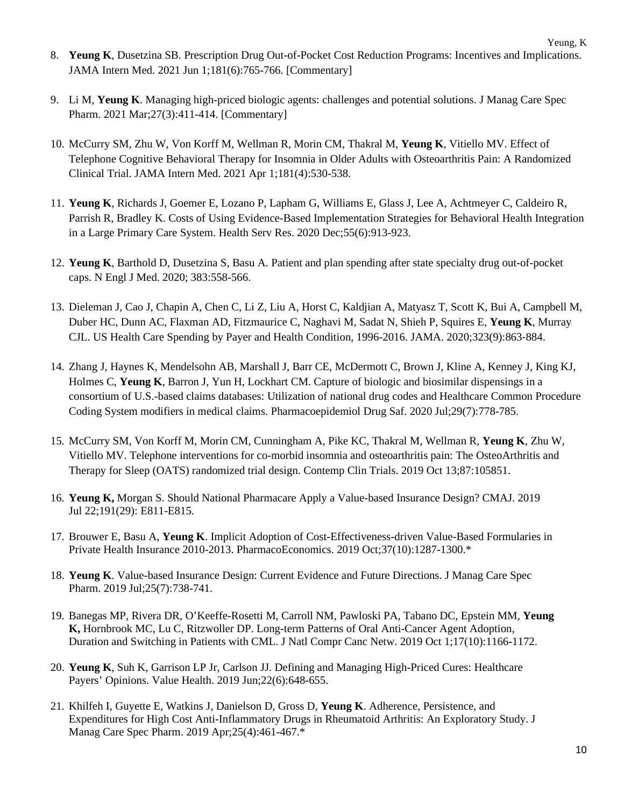- Yeung, K 8. **Yeung K**, Dusetzina SB. Prescription Drug Out-of-Pocket Cost Reduction Programs: Incentives and Implications. JAMA Intern Med. 2021 Jun 1;181(6):765-766. [Commentary]
- 9. Li M, **Yeung K**. Managing high-priced biologic agents: challenges and potential solutions. J Manag Care Spec Pharm. 2021 Mar;27(3):411-414. [Commentary]
- 10. McCurry SM, Zhu W, Von Korff M, Wellman R, Morin CM, Thakral M, **Yeung K**, Vitiello MV. Effect of Telephone Cognitive Behavioral Therapy for Insomnia in Older Adults with Osteoarthritis Pain: A Randomized Clinical Trial. JAMA Intern Med. 2021 Apr 1;181(4):530-538.
- 11. **Yeung K**, Richards J, Goemer E, Lozano P, Lapham G, Williams E, Glass J, Lee A, Achtmeyer C, Caldeiro R, Parrish R, Bradley K. Costs of Using Evidence-Based Implementation Strategies for Behavioral Health Integration in a Large Primary Care System. Health Serv Res. 2020 Dec;55(6):913-923.
- 12. **Yeung K**, Barthold D, Dusetzina S, Basu A. Patient and plan spending after state specialty drug out-of-pocket caps. N Engl J Med. 2020; 383:558-566.
- 13. Dieleman J, Cao J, Chapin A, Chen C, Li Z, Liu A, Horst C, Kaldjian A, Matyasz T, Scott K, Bui A, Campbell M, Duber HC, Dunn AC, Flaxman AD, Fitzmaurice C, Naghavi M, Sadat N, Shieh P, Squires E, **Yeung K**, Murray CJL. US Health Care Spending by Payer and Health Condition, 1996-2016. JAMA. 2020;323(9):863‐884.
- 14. Zhang J, Haynes K, Mendelsohn AB, Marshall J, Barr CE, McDermott C, Brown J, Kline A, Kenney J, King KJ, Holmes C, **Yeung K**, Barron J, Yun H, Lockhart CM. Capture of biologic and biosimilar dispensings in a consortium of U.S.-based claims databases: Utilization of national drug codes and Healthcare Common Procedure Coding System modifiers in medical claims. Pharmacoepidemiol Drug Saf. 2020 Jul;29(7):778-785.
- 15. McCurry SM, Von Korff M, Morin CM, Cunningham A, Pike KC, Thakral M, Wellman R, **Yeung K**, Zhu W, Vitiello MV. Telephone interventions for co-morbid insomnia and osteoarthritis pain: The OsteoArthritis and Therapy for Sleep (OATS) randomized trial design. Contemp Clin Trials. 2019 Oct 13;87:105851.
- 16. **Yeung K,** Morgan S. Should National Pharmacare Apply a Value-based Insurance Design? CMAJ. 2019 Jul 22;191(29): E811-E815.
- 17. Brouwer E, Basu A, **Yeung K**. Implicit Adoption of Cost-Effectiveness-driven Value-Based Formularies in Private Health Insurance 2010-2013. PharmacoEconomics. 2019 Oct;37(10):1287-1300.\*
- 18. **Yeung K**. Value-based Insurance Design: Current Evidence and Future Directions. J Manag Care Spec Pharm. 2019 Jul;25(7):738-741.
- 19. Banegas MP, Rivera DR, O'Keeffe-Rosetti M, Carroll NM, Pawloski PA, Tabano DC, Epstein MM, **Yeung K,** Hornbrook MC, Lu C, Ritzwoller DP. Long-term Patterns of Oral Anti-Cancer Agent Adoption, Duration and Switching in Patients with CML. J Natl Compr Canc Netw. 2019 Oct 1;17(10):1166-1172.
- 20. **Yeung K**, Suh K, Garrison LP Jr, Carlson JJ. Defining and Managing High-Priced Cures: Healthcare Payers' Opinions. Value Health. 2019 Jun;22(6):648-655.
- 21. Khilfeh I, Guyette E, Watkins J, Danielson D, Gross D, **Yeung K**. Adherence, Persistence, and Expenditures for High Cost Anti-Inflammatory Drugs in Rheumatoid Arthritis: An Exploratory Study. J Manag Care Spec Pharm. 2019 Apr;25(4):461-467.\*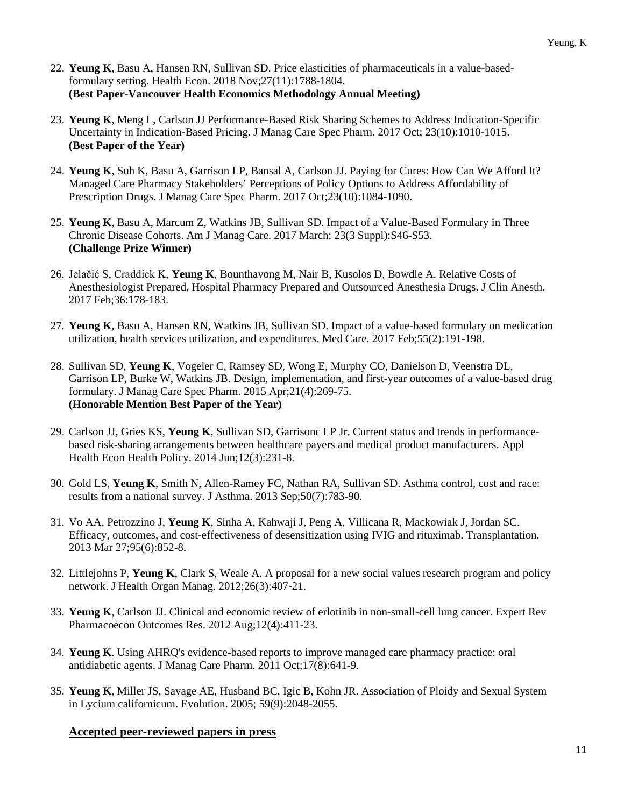- 22. **Yeung K**, Basu A, Hansen RN, Sullivan SD. Price elasticities of pharmaceuticals in a value-basedformulary setting. Health Econ. 2018 Nov;27(11):1788-1804. **(Best Paper-Vancouver Health Economics Methodology Annual Meeting)**
- 23. **Yeung K**, Meng L, Carlson JJ Performance-Based Risk Sharing Schemes to Address Indication-Specific Uncertainty in Indication-Based Pricing. J Manag Care Spec Pharm. 2017 Oct; 23(10):1010-1015. **(Best Paper of the Year)**
- 24. **Yeung K**, Suh K, Basu A, Garrison LP, Bansal A, Carlson JJ. Paying for Cures: How Can We Afford It? Managed Care Pharmacy Stakeholders' Perceptions of Policy Options to Address Affordability of Prescription Drugs. J Manag Care Spec Pharm. 2017 Oct;23(10):1084-1090.
- 25. **Yeung K**, Basu A, Marcum Z, Watkins JB, Sullivan SD. Impact of a Value-Based Formulary in Three Chronic Disease Cohorts. Am J Manag Care. 2017 March; 23(3 Suppl):S46-S53. **(Challenge Prize Winner)**
- 26. Jelačić S, Craddick K, **Yeung K**, Bounthavong M, Nair B, Kusolos D, Bowdle A. Relative Costs of Anesthesiologist Prepared, Hospital Pharmacy Prepared and Outsourced Anesthesia Drugs. J Clin Anesth. 2017 Feb;36:178-183.
- 27. **Yeung K,** Basu A, Hansen RN, Watkins JB, Sullivan SD. Impact of a value-based formulary on medication utilization, health services utilization, and expenditures. [Med Care.](http://www.ncbi.nlm.nih.gov/pubmed/27579915) 2017 Feb;55(2):191-198.
- 28. Sullivan SD, **Yeung K**, Vogeler C, Ramsey SD, Wong E, Murphy CO, Danielson D, Veenstra DL, Garrison LP, Burke W, Watkins JB. Design, implementation, and first-year outcomes of a value-based drug formulary. J Manag Care Spec Pharm. 2015 Apr;21(4):269-75. **(Honorable Mention Best Paper of the Year)**
- 29. Carlson JJ, Gries KS, **Yeung K**, Sullivan SD, Garrisonc LP Jr. Current status and trends in performancebased risk-sharing arrangements between healthcare payers and medical product manufacturers. Appl Health Econ Health Policy. 2014 Jun;12(3):231-8.
- 30. Gold LS, **Yeung K**, Smith N, Allen-Ramey FC, Nathan RA, Sullivan SD. Asthma control, cost and race: results from a national survey. J Asthma. 2013 Sep;50(7):783-90.
- 31. Vo AA, Petrozzino J, **Yeung K**, Sinha A, Kahwaji J, Peng A, Villicana R, Mackowiak J, Jordan SC. Efficacy, outcomes, and cost-effectiveness of desensitization using IVIG and rituximab. Transplantation. 2013 Mar 27;95(6):852-8.
- 32. Littlejohns P, **Yeung K**, Clark S, Weale A. A proposal for a new social values research program and policy network. J Health Organ Manag. 2012;26(3):407-21.
- 33. **Yeung K**, Carlson JJ. Clinical and economic review of erlotinib in non-small-cell lung cancer. Expert Rev Pharmacoecon Outcomes Res. 2012 Aug;12(4):411-23.
- 34. **Yeung K**. Using AHRQ's evidence-based reports to improve managed care pharmacy practice: oral antidiabetic agents. J Manag Care Pharm. 2011 Oct;17(8):641-9.
- 35. **Yeung K**, Miller JS, Savage AE, Husband BC, Igic B, Kohn JR. Association of Ploidy and Sexual System in Lycium californicum. Evolution. 2005; 59(9):2048-2055.

## **Accepted peer-reviewed papers in press**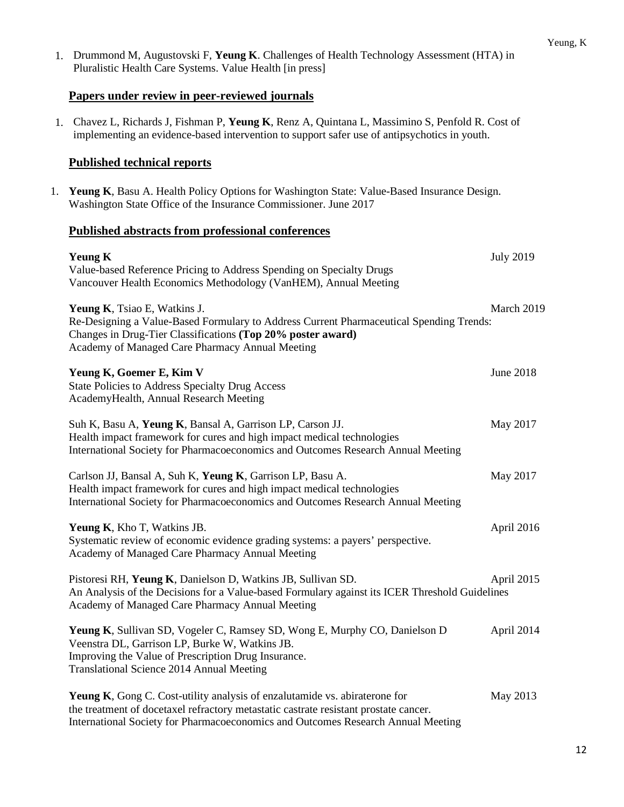|    | 1. Drummond M, Augustovski F, Yeung K. Challenges of Health Technology Assessment (HTA) in<br>Pluralistic Health Care Systems. Value Health [in press]                                                                                           |                  |
|----|--------------------------------------------------------------------------------------------------------------------------------------------------------------------------------------------------------------------------------------------------|------------------|
|    | Papers under review in peer-reviewed journals                                                                                                                                                                                                    |                  |
|    | 1. Chavez L, Richards J, Fishman P, Yeung K, Renz A, Quintana L, Massimino S, Penfold R. Cost of<br>implementing an evidence-based intervention to support safer use of antipsychotics in youth.                                                 |                  |
|    | <b>Published technical reports</b>                                                                                                                                                                                                               |                  |
| 1. | Yeung K, Basu A. Health Policy Options for Washington State: Value-Based Insurance Design.<br>Washington State Office of the Insurance Commissioner. June 2017                                                                                   |                  |
|    | <b>Published abstracts from professional conferences</b>                                                                                                                                                                                         |                  |
|    | <b>Yeung K</b><br>Value-based Reference Pricing to Address Spending on Specialty Drugs<br>Vancouver Health Economics Methodology (VanHEM), Annual Meeting                                                                                        | <b>July 2019</b> |
|    | <b>Yeung K, Tsiao E, Watkins J.</b><br>Re-Designing a Value-Based Formulary to Address Current Pharmaceutical Spending Trends:<br>Changes in Drug-Tier Classifications (Top 20% poster award)<br>Academy of Managed Care Pharmacy Annual Meeting | March 2019       |
|    | Yeung K, Goemer E, Kim V<br>State Policies to Address Specialty Drug Access<br>AcademyHealth, Annual Research Meeting                                                                                                                            | <b>June 2018</b> |
|    | Suh K, Basu A, Yeung K, Bansal A, Garrison LP, Carson JJ.<br>Health impact framework for cures and high impact medical technologies<br>International Society for Pharmacoeconomics and Outcomes Research Annual Meeting                          | May 2017         |
|    | Carlson JJ, Bansal A, Suh K, Yeung K, Garrison LP, Basu A.<br>Health impact framework for cures and high impact medical technologies<br>International Society for Pharmacoeconomics and Outcomes Research Annual Meeting                         | May 2017         |
|    | Yeung K, Kho T, Watkins JB.<br>Systematic review of economic evidence grading systems: a payers' perspective.<br>Academy of Managed Care Pharmacy Annual Meeting                                                                                 | April 2016       |
|    | Pistoresi RH, Yeung K, Danielson D, Watkins JB, Sullivan SD.<br>An Analysis of the Decisions for a Value-based Formulary against its ICER Threshold Guidelines<br>Academy of Managed Care Pharmacy Annual Meeting                                | April 2015       |
|    | Yeung K, Sullivan SD, Vogeler C, Ramsey SD, Wong E, Murphy CO, Danielson D<br>Veenstra DL, Garrison LP, Burke W, Watkins JB.<br>Improving the Value of Prescription Drug Insurance.<br>Translational Science 2014 Annual Meeting                 | April 2014       |
|    | <b>Yeung K, Gong C. Cost-utility analysis of enzalutamide vs. abiraterone for</b><br>the treatment of docetaxel refractory metastatic castrate resistant prostate cancer.                                                                        | May 2013         |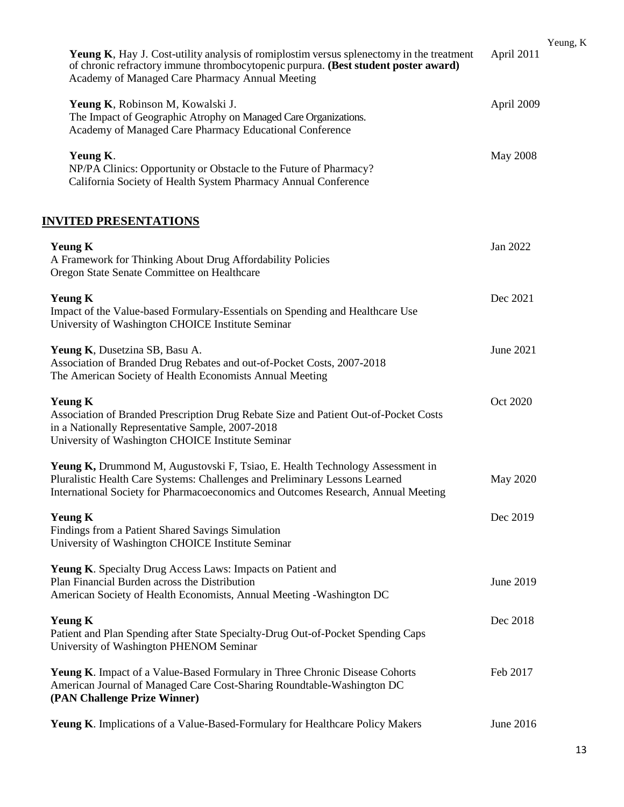| <b>Yeung K,</b> Hay J. Cost-utility analysis of romiplostim versus splenectomy in the treatment<br>of chronic refractory immune thrombocytopenic purpura. (Best student poster award)<br>Academy of Managed Care Pharmacy Annual Meeting          | April 2011      | Yeung, K |
|---------------------------------------------------------------------------------------------------------------------------------------------------------------------------------------------------------------------------------------------------|-----------------|----------|
| Yeung K, Robinson M, Kowalski J.<br>The Impact of Geographic Atrophy on Managed Care Organizations.<br>Academy of Managed Care Pharmacy Educational Conference                                                                                    | April 2009      |          |
| Yeung K.<br>NP/PA Clinics: Opportunity or Obstacle to the Future of Pharmacy?<br>California Society of Health System Pharmacy Annual Conference                                                                                                   | <b>May 2008</b> |          |
| <b>INVITED PRESENTATIONS</b>                                                                                                                                                                                                                      |                 |          |
| <b>Yeung K</b><br>A Framework for Thinking About Drug Affordability Policies<br>Oregon State Senate Committee on Healthcare                                                                                                                       | Jan 2022        |          |
| <b>Yeung K</b><br>Impact of the Value-based Formulary-Essentials on Spending and Healthcare Use<br>University of Washington CHOICE Institute Seminar                                                                                              | Dec 2021        |          |
| Yeung K, Dusetzina SB, Basu A.<br>Association of Branded Drug Rebates and out-of-Pocket Costs, 2007-2018<br>The American Society of Health Economists Annual Meeting                                                                              | June 2021       |          |
| <b>Yeung K</b><br>Association of Branded Prescription Drug Rebate Size and Patient Out-of-Pocket Costs<br>in a Nationally Representative Sample, 2007-2018<br>University of Washington CHOICE Institute Seminar                                   | Oct 2020        |          |
| Yeung K, Drummond M, Augustovski F, Tsiao, E. Health Technology Assessment in<br>Pluralistic Health Care Systems: Challenges and Preliminary Lessons Learned<br>International Society for Pharmacoeconomics and Outcomes Research, Annual Meeting | May 2020        |          |
| <b>Yeung K</b><br>Findings from a Patient Shared Savings Simulation<br>University of Washington CHOICE Institute Seminar                                                                                                                          | Dec 2019        |          |
| Yeung K. Specialty Drug Access Laws: Impacts on Patient and<br>Plan Financial Burden across the Distribution<br>American Society of Health Economists, Annual Meeting - Washington DC                                                             | June 2019       |          |
| <b>Yeung K</b><br>Patient and Plan Spending after State Specialty-Drug Out-of-Pocket Spending Caps<br>University of Washington PHENOM Seminar                                                                                                     | Dec 2018        |          |
| Yeung K. Impact of a Value-Based Formulary in Three Chronic Disease Cohorts<br>American Journal of Managed Care Cost-Sharing Roundtable-Washington DC<br>(PAN Challenge Prize Winner)                                                             | Feb 2017        |          |
| Yeung K. Implications of a Value-Based-Formulary for Healthcare Policy Makers                                                                                                                                                                     | June 2016       |          |